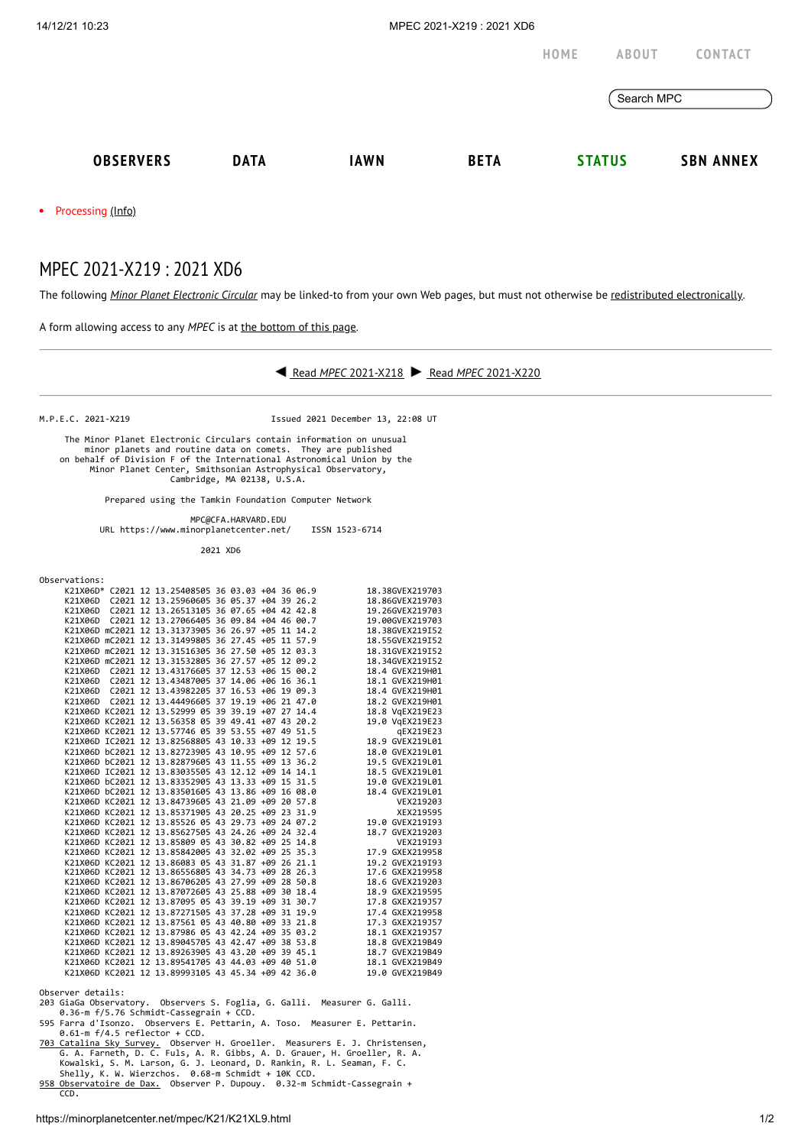|                                                                                                                 |             |             |             | HOME       | <b>ABOUT</b>  | CONTACT          |
|-----------------------------------------------------------------------------------------------------------------|-------------|-------------|-------------|------------|---------------|------------------|
|                                                                                                                 |             |             |             | Search MPC |               |                  |
| <b>OBSERVERS</b>                                                                                                | <b>DATA</b> | <b>IAWN</b> | <b>BETA</b> |            | <b>STATUS</b> | <b>SBN ANNEX</b> |
| the contract of the contract of the contract of the contract of the contract of the contract of the contract of |             |             |             |            |               |                  |

• Processing [\(Info\)](https://minorplanetcenter.net/iau/info/MPCOpStatus.html)

## MPEC 2021-X219 : 2021 XD6

The following *Minor Planet [Electronic](https://minorplanetcenter.net/iau/services/MPEC.html) Circular* may be linked-to from your own Web pages, but must not otherwise be redistributed [electronically](https://minorplanetcenter.net/iau/WWWPolicy.html).

A form allowing access to any *MPEC* is at the [bottom](https://minorplanetcenter.net/mpec/K19/K21XL9.html#form) of this page.



M.P.E.C. 2021-X219 Issued 2021 December 13, 22:08 UT

 The Minor Planet Electronic Circulars contain information on unusual minor planets and routine data on comets. They are published on behalf of Division F of the International Astronomical Union by the Minor Planet Center, Smithsonian Astrophysical Observatory, Cambridge, MA 02138, U.S.A.

Prepared using the Tamkin Foundation Computer Network

 MPC@CFA.HARVARD.EDU URL https://www.minorplanetcenter.net/ ISSN 1523-6714

2021 XD6

| Observations |  |
|--------------|--|
|--------------|--|

| Observations: |  |                                                    |  |  |                 |
|---------------|--|----------------------------------------------------|--|--|-----------------|
|               |  | K21X06D* C2021 12 13.25408505 36 03.03 +04 36 06.9 |  |  | 18.38GVEX219703 |
|               |  | K21X06D C2021 12 13.25960605 36 05.37 +04 39 26.2  |  |  | 18.86GVEX219703 |
|               |  | K21X06D C2021 12 13.26513105 36 07.65 +04 42 42.8  |  |  | 19.26GVEX219703 |
| K21X06D       |  | C2021 12 13.27066405 36 09.84 +04 46 00.7          |  |  | 19.00GVEX219703 |
|               |  | K21X06D mC2021 12 13.31373905 36 26.97 +05 11 14.2 |  |  | 18.38GVEX219I52 |
|               |  | K21X06D mC2021 12 13.31499805 36 27.45 +05 11 57.9 |  |  | 18.55GVEX219I52 |
|               |  | K21X06D mC2021 12 13.31516305 36 27.50 +05 12 03.3 |  |  | 18.31GVEX219I52 |
|               |  | K21X06D mC2021 12 13.31532805 36 27.57 +05 12 09.2 |  |  | 18.34GVEX219I52 |
|               |  | K21X06D C2021 12 13.43176605 37 12.53 +06 15 00.2  |  |  | 18.4 GVEX219H01 |
|               |  | K21X06D C2021 12 13.43487005 37 14.06 +06 16 36.1  |  |  | 18.1 GVEX219H01 |
|               |  | K21X06D C2021 12 13.43982205 37 16.53 +06 19 09.3  |  |  | 18.4 GVEX219H01 |
|               |  | K21X06D C2021 12 13.44496605 37 19.19 +06 21 47.0  |  |  | 18.2 GVEX219H01 |
|               |  | K21X06D KC2021 12 13.52999 05 39 39.19 +07 27 14.4 |  |  | 18.8 VgEX219E23 |
|               |  | K21X06D KC2021 12 13.56358 05 39 49.41 +07 43 20.2 |  |  | 19.0 VgEX219E23 |
|               |  | K21X06D KC2021 12 13.57746 05 39 53.55 +07 49 51.5 |  |  | qEX219E23       |
|               |  | K21X06D IC2021 12 13.82568805 43 10.33 +09 12 19.5 |  |  | 18.9 GVEX219L01 |
|               |  | K21X06D bC2021 12 13.82723905 43 10.95 +09 12 57.6 |  |  | 18.0 GVEX219L01 |
|               |  | K21X06D bC2021 12 13.82879605 43 11.55 +09 13 36.2 |  |  | 19.5 GVEX219L01 |
|               |  | K21X06D IC2021 12 13.83035505 43 12.12 +09 14 14.1 |  |  | 18.5 GVEX219L01 |
|               |  | K21X06D bC2021 12 13.83352905 43 13.33 +09 15 31.5 |  |  | 19.0 GVEX219L01 |
|               |  | K21X06D bC2021 12 13.83501605 43 13.86 +09 16 08.0 |  |  | 18.4 GVEX219L01 |
|               |  | K21X06D KC2021 12 13.84739605 43 21.09 +09 20 57.8 |  |  | VEX219203       |
|               |  | K21X06D KC2021 12 13.85371905 43 20.25 +09 23 31.9 |  |  | XEX219595       |
|               |  | K21X06D KC2021 12 13.85526 05 43 29.73 +09 24 07.2 |  |  | 19.0 GVEX219I93 |
|               |  | K21X06D KC2021 12 13.85627505 43 24.26 +09 24 32.4 |  |  | 18.7 GVEX219203 |
|               |  | K21X06D KC2021 12 13.85809 05 43 30.82 +09 25 14.8 |  |  | VEX219193       |
|               |  | K21X06D KC2021 12 13.85842005 43 32.02 +09 25 35.3 |  |  | 17.9 GXEX219958 |
|               |  | K21X06D KC2021 12 13.86083 05 43 31.87 +09 26 21.1 |  |  | 19.2 GVEX219I93 |
|               |  | K21X06D KC2021 12 13.86556805 43 34.73 +09 28 26.3 |  |  | 17.6 GXEX219958 |
|               |  | K21X06D KC2021 12 13.86706205 43 27.99 +09 28 50.8 |  |  | 18.6 GVEX219203 |
|               |  | K21X06D KC2021 12 13.87072605 43 25.88 +09 30 18.4 |  |  | 18.9 GXEX219595 |
|               |  | K21X06D KC2021 12 13.87095 05 43 39.19 +09 31 30.7 |  |  | 17.8 GXEX219J57 |
|               |  | K21X06D KC2021 12 13.87271505 43 37.28 +09 31 19.9 |  |  | 17.4 GXEX219958 |
|               |  | K21X06D KC2021 12 13.87561 05 43 40.80 +09 33 21.8 |  |  | 17.3 GXEX219J57 |
|               |  | K21X06D KC2021 12 13.87986 05 43 42.24 +09 35 03.2 |  |  | 18.1 GXEX219J57 |
|               |  | K21X06D KC2021 12 13.89045705 43 42.47 +09 38 53.8 |  |  | 18.8 GVEX219B49 |
|               |  | K21X06D KC2021 12 13.89263905 43 43.20 +09 39 45.1 |  |  | 18.7 GVEX219B49 |
|               |  | K21X06D KC2021 12 13.89541705 43 44.03 +09 40 51.0 |  |  | 18.1 GVEX219B49 |
|               |  | K21X06D KC2021 12 13.89993105 43 45.34 +09 42 36.0 |  |  | 19.0 GVEX219B49 |
|               |  |                                                    |  |  |                 |

Observer details:<br>203 GiaGa Observatory. Observers S. Foglia, G. Galli. Measurer G. Galli.<br>6.36-m f/5.76 Schmidt-Cassegrain + CCD.<br>595 Farra d'Isonzo. Observers E. Pettarin, A. Toso. Measurer E. Pettarin.<br>6.61-m f/4.5 refl

 $\mathcal{E}$